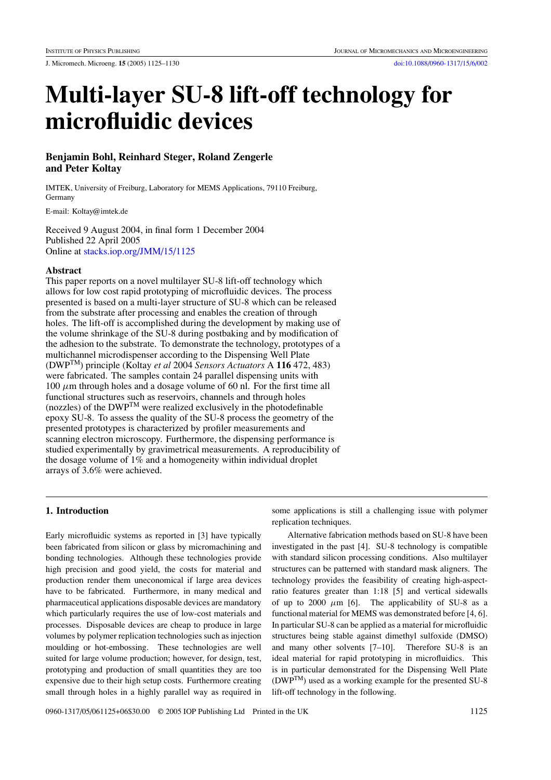J. Micromech. Microeng. **15** (2005) 1125–1130 [doi:10.1088/0960-1317/15/6/002](http://dx.doi.org/10.1088/0960-1317/15/6/002)

# **Multi-layer SU-8 lift-off technology for microfluidic devices**

## **Benjamin Bohl, Reinhard Steger, Roland Zengerle and Peter Koltay**

IMTEK, University of Freiburg, Laboratory for MEMS Applications, 79110 Freiburg, Germany

E-mail: Koltay@imtek.de

Received 9 August 2004, in final form 1 December 2004 Published 22 April 2005 Online at [stacks.iop.org/JMM/15/1125](http://stacks.iop.org/jm/15/1125)

## **Abstract**

This paper reports on a novel multilayer SU-8 lift-off technology which allows for low cost rapid prototyping of microfluidic devices. The process presented is based on a multi-layer structure of SU-8 which can be released from the substrate after processing and enables the creation of through holes. The lift-off is accomplished during the development by making use of the volume shrinkage of the SU-8 during postbaking and by modification of the adhesion to the substrate. To demonstrate the technology, prototypes of a multichannel microdispenser according to the Dispensing Well Plate (DWPTM) principle (Koltay *et al* 2004 *Sensors Actuators* A **116** 472, 483) were fabricated. The samples contain 24 parallel dispensing units with  $100 \mu$ m through holes and a dosage volume of 60 nl. For the first time all functional structures such as reservoirs, channels and through holes (nozzles) of the DWPTM were realized exclusively in the photodefinable epoxy SU-8. To assess the quality of the SU-8 process the geometry of the presented prototypes is characterized by profiler measurements and scanning electron microscopy. Furthermore, the dispensing performance is studied experimentally by gravimetrical measurements. A reproducibility of the dosage volume of 1% and a homogeneity within individual droplet arrays of 3.6% were achieved.

## **1. Introduction**

Early microfluidic systems as reported in [3] have typically been fabricated from silicon or glass by micromachining and bonding technologies. Although these technologies provide high precision and good yield, the costs for material and production render them uneconomical if large area devices have to be fabricated. Furthermore, in many medical and pharmaceutical applications disposable devices are mandatory which particularly requires the use of low-cost materials and processes. Disposable devices are cheap to produce in large volumes by polymer replication technologies such as injection moulding or hot-embossing. These technologies are well suited for large volume production; however, for design, test, prototyping and production of small quantities they are too expensive due to their high setup costs. Furthermore creating small through holes in a highly parallel way as required in

some applications is still a challenging issue with polymer replication techniques.

Alternative fabrication methods based on SU-8 have been investigated in the past [4]. SU-8 technology is compatible with standard silicon processing conditions. Also multilayer structures can be patterned with standard mask aligners. The technology provides the feasibility of creating high-aspectratio features greater than 1:18 [5] and vertical sidewalls of up to 2000  $\mu$ m [6]. The applicability of SU-8 as a functional material for MEMS was demonstrated before [4, 6]. In particular SU-8 can be applied as a material for microfluidic structures being stable against dimethyl sulfoxide (DMSO) and many other solvents [7–10]. Therefore SU-8 is an ideal material for rapid prototyping in microfluidics. This is in particular demonstrated for the Dispensing Well Plate  $(DWP<sup>TM</sup>)$  used as a working example for the presented SU-8 lift-off technology in the following.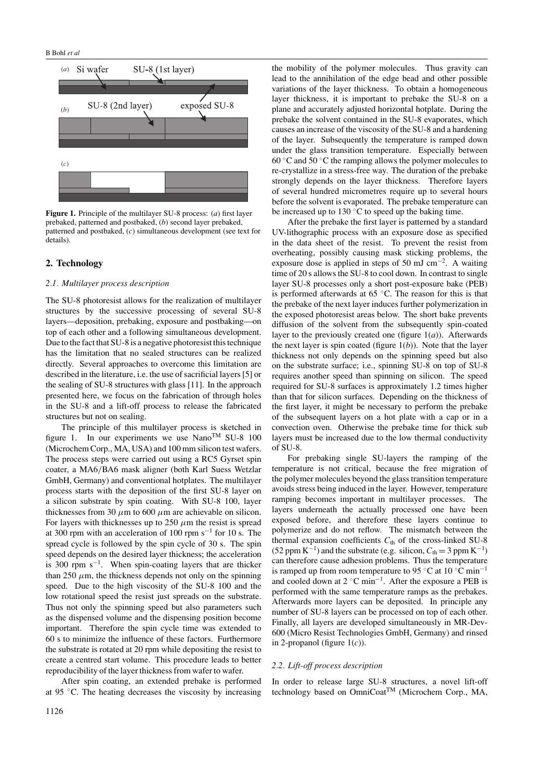

<span id="page-1-0"></span>**Figure 1.** Principle of the multilayer SU-8 process: (*a*) first layer prebaked, patterned and postbaked, (*b*) second layer prebaked, patterned and postbaked, (*c*) simultaneous development (see text for details).

## **2. Technology**

## *2.1. Multilayer process description*

The SU-8 photoresist allows for the realization of multilayer structures by the successive processing of several SU-8 layers—deposition, prebaking, exposure and postbaking—on top of each other and a following simultaneous development. Due to the fact that SU-8 is a negative photoresist this technique has the limitation that no sealed structures can be realized directly. Several approaches to overcome this limitation are described in the literature, i.e. the use of sacrificial layers [5] or the sealing of SU-8 structures with glass [11]. In the approach presented here, we focus on the fabrication of through holes in the SU-8 and a lift-off process to release the fabricated structures but not on sealing.

The principle of this multilayer process is sketched in figure [1.](#page-1-0) In our experiments we use  $Nano^{TM}$  SU-8 100 (Microchem Corp., MA, USA) and 100 mm silicon test wafers. The process steps were carried out using a RC5 Gyrset spin coater, a MA6*/*BA6 mask aligner (both Karl Suess Wetzlar GmbH, Germany) and conventional hotplates. The multilayer process starts with the deposition of the first SU-8 layer on a silicon substrate by spin coating. With SU-8 100, layer thicknesses from 30  $\mu$ m to 600  $\mu$ m are achievable on silicon. For layers with thicknesses up to  $250 \mu m$  the resist is spread at 300 rpm with an acceleration of 100 rpm s<sup> $-1$ </sup> for 10 s. The spread cycle is followed by the spin cycle of 30 s. The spin speed depends on the desired layer thickness; the acceleration is 300 rpm  $s^{-1}$ . When spin-coating layers that are thicker than 250  $\mu$ m, the thickness depends not only on the spinning speed. Due to the high viscosity of the SU-8 100 and the low rotational speed the resist just spreads on the substrate. Thus not only the spinning speed but also parameters such as the dispensed volume and the dispensing position become important. Therefore the spin cycle time was extended to 60 s to minimize the influence of these factors. Furthermore the substrate is rotated at 20 rpm while depositing the resist to create a centred start volume. This procedure leads to better reproducibility of the layer thickness from wafer to wafer.

After spin coating, an extended prebake is performed at 95 ◦C. The heating decreases the viscosity by increasing

the mobility of the polymer molecules. Thus gravity can lead to the annihilation of the edge bead and other possible variations of the layer thickness. To obtain a homogeneous layer thickness, it is important to prebake the SU-8 on a plane and accurately adjusted horizontal hotplate. During the prebake the solvent contained in the SU-8 evaporates, which causes an increase of the viscosity of the SU-8 and a hardening of the layer. Subsequently the temperature is ramped down under the glass transition temperature. Especially between 60  $\degree$ C and 50  $\degree$ C the ramping allows the polymer molecules to re-crystallize in a stress-free way. The duration of the prebake strongly depends on the layer thickness. Therefore layers of several hundred micrometres require up to several hours before the solvent is evaporated. The prebake temperature can be increased up to 130 ◦C to speed up the baking time.

After the prebake the first layer is patterned by a standard UV-lithographic process with an exposure dose as specified in the data sheet of the resist. To prevent the resist from overheating, possibly causing mask sticking problems, the exposure dose is applied in steps of 50 mJ cm<sup>-2</sup>. A waiting time of 20 s allows the SU-8 to cool down. In contrast to single layer SU-8 processes only a short post-exposure bake (PEB) is performed afterwards at  $65^{\circ}$ C. The reason for this is that the prebake of the next layer induces further polymerization in the exposed photoresist areas below. The short bake prevents diffusion of the solvent from the subsequently spin-coated layer to the previously created one (figure  $1(a)$ ). Afterwards the next layer is spin coated (figure  $1(b)$ ). Note that the layer thickness not only depends on the spinning speed but also on the substrate surface; i.e., spinning SU-8 on top of SU-8 requires another speed than spinning on silicon. The speed required for SU-8 surfaces is approximately 1.2 times higher than that for silicon surfaces. Depending on the thickness of the first layer, it might be necessary to perform the prebake of the subsequent layers on a hot plate with a cap or in a convection oven. Otherwise the prebake time for thick sub layers must be increased due to the low thermal conductivity of SU-8.

For prebaking single SU-layers the ramping of the temperature is not critical, because the free migration of the polymer molecules beyond the glass transition temperature avoids stress being induced in the layer. However, temperature ramping becomes important in multilayer processes. The layers underneath the actually processed one have been exposed before, and therefore these layers continue to polymerize and do not reflow. The mismatch between the thermal expansion coefficients  $C<sub>th</sub>$  of the cross-linked SU-8  $(52 \text{ ppm K}^{-1})$  and the substrate (e.g. silicon,  $C_{\text{th}} = 3 \text{ ppm K}^{-1}$ ) can therefore cause adhesion problems. Thus the temperature is ramped up from room temperature to 95 °C at 10 °C min<sup>-1</sup> and cooled down at  $2 \text{ °C min}^{-1}$ . After the exposure a PEB is performed with the same temperature ramps as the prebakes. Afterwards more layers can be deposited. In principle any number of SU-8 layers can be processed on top of each other. Finally, all layers are developed simultaneously in MR-Dev-600 (Micro Resist Technologies GmbH, Germany) and rinsed in 2-propanol (figure [1\(](#page-1-0)*c*)).

## *2.2. Lift-off process description*

In order to release large SU-8 structures, a novel lift-off technology based on OmniCoat<sup>TM</sup> (Microchem Corp., MA,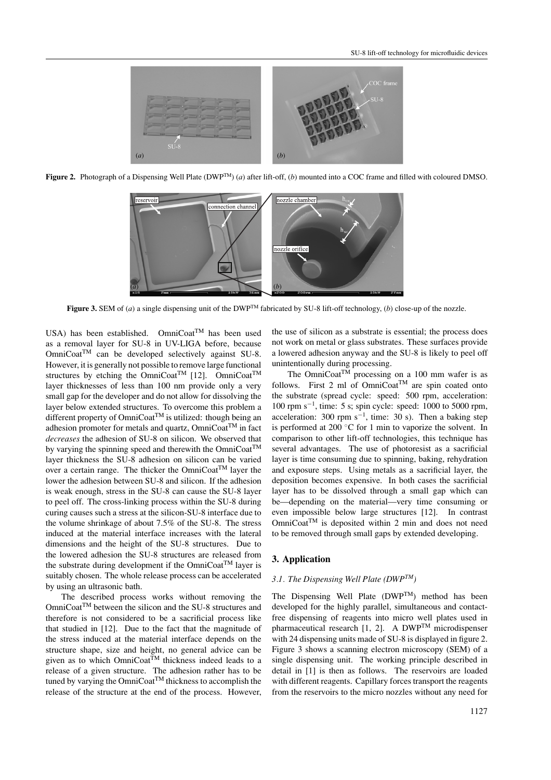

<span id="page-2-0"></span>**Figure 2.** Photograph of a Dispensing Well Plate (DWPTM) (*a*) after lift-off, (*b*) mounted into a COC frame and filled with coloured DMSO.



**Figure 3.** SEM of (*a*) a single dispensing unit of the DWPTM fabricated by SU-8 lift-off technology, (*b*) close-up of the nozzle.

<span id="page-2-1"></span>USA) has been established. OmniCoat<sup>TM</sup> has been used as a removal layer for SU-8 in UV-LIGA before, because OmniCoat<sup>™</sup> can be developed selectively against SU-8. However, it is generally not possible to remove large functional structures by etching the OmniCoat<sup>TM</sup> [12]. OmniCoat<sup>TM</sup> layer thicknesses of less than 100 nm provide only a very small gap for the developer and do not allow for dissolving the layer below extended structures. To overcome this problem a different property of  $OmniCoat^{TM}$  is utilized: though being an adhesion promoter for metals and quartz, OmniCoat<sup>TM</sup> in fact *decreases* the adhesion of SU-8 on silicon. We observed that by varying the spinning speed and therewith the OmniCoat<sup>TM</sup> layer thickness the SU-8 adhesion on silicon can be varied over a certain range. The thicker the OmniCoatTM layer the lower the adhesion between SU-8 and silicon. If the adhesion is weak enough, stress in the SU-8 can cause the SU-8 layer to peel off. The cross-linking process within the SU-8 during curing causes such a stress at the silicon-SU-8 interface due to the volume shrinkage of about 7.5% of the SU-8. The stress induced at the material interface increases with the lateral dimensions and the height of the SU-8 structures. Due to the lowered adhesion the SU-8 structures are released from the substrate during development if the OmniCoat<sup>TM</sup> layer is suitably chosen. The whole release process can be accelerated by using an ultrasonic bath.

The described process works without removing the OmniCoat<sup>TM</sup> between the silicon and the SU-8 structures and therefore is not considered to be a sacrificial process like that studied in [12]. Due to the fact that the magnitude of the stress induced at the material interface depends on the structure shape, size and height, no general advice can be given as to which  $OmniCoat^{TM}$  thickness indeed leads to a release of a given structure. The adhesion rather has to be tuned by varying the OmniCoat<sup>TM</sup> thickness to accomplish the release of the structure at the end of the process. However,

the use of silicon as a substrate is essential; the process does not work on metal or glass substrates. These surfaces provide a lowered adhesion anyway and the SU-8 is likely to peel off unintentionally during processing.

The OmniCoat<sup>TM</sup> processing on a 100 mm wafer is as follows. First 2 ml of  $OmniCoat^{TM}$  are spin coated onto the substrate (spread cycle: speed: 500 rpm, acceleration: 100 rpm s−<sup>1</sup> , time: 5 s; spin cycle: speed: 1000 to 5000 rpm, acceleration: 300 rpm  $s^{-1}$ , time: 30 s). Then a baking step is performed at 200 ◦C for 1 min to vaporize the solvent. In comparison to other lift-off technologies, this technique has several advantages. The use of photoresist as a sacrificial layer is time consuming due to spinning, baking, rehydration and exposure steps. Using metals as a sacrificial layer, the deposition becomes expensive. In both cases the sacrificial layer has to be dissolved through a small gap which can be—depending on the material—very time consuming or even impossible below large structures [12]. In contrast  $OmniCoat<sup>TM</sup>$  is deposited within 2 min and does not need to be removed through small gaps by extended developing.

#### **3. Application**

#### *3.1. The Dispensing Well Plate (DWPTM)*

The Dispensing Well Plate  $(DWP^{TM})$  method has been developed for the highly parallel, simultaneous and contactfree dispensing of reagents into micro well plates used in pharmaceutical research [1, 2]. A DWPTM microdispenser with 24 dispensing units made of SU-8 is displayed in figure [2.](#page-2-0) Figure [3](#page-2-1) shows a scanning electron microscopy (SEM) of a single dispensing unit. The working principle described in detail in [1] is then as follows. The reservoirs are loaded with different reagents. Capillary forces transport the reagents from the reservoirs to the micro nozzles without any need for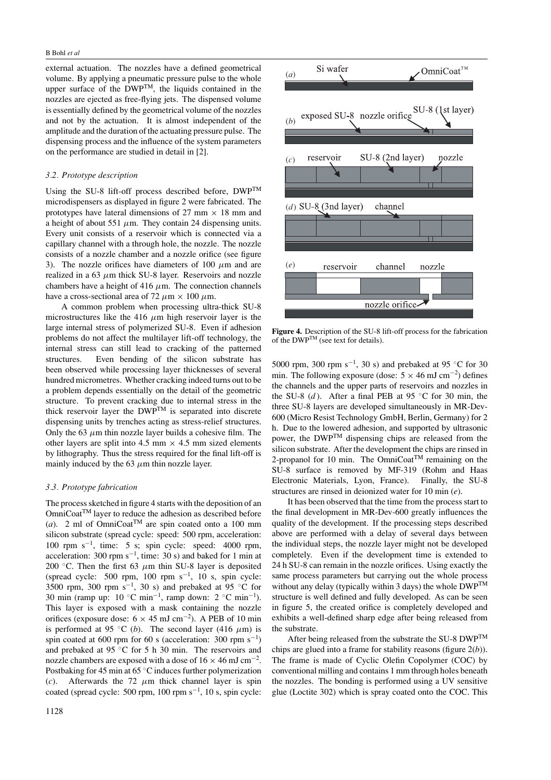external actuation. The nozzles have a defined geometrical volume. By applying a pneumatic pressure pulse to the whole upper surface of the DWP<sup>TM</sup>, the liquids contained in the nozzles are ejected as free-flying jets. The dispensed volume is essentially defined by the geometrical volume of the nozzles and not by the actuation. It is almost independent of the amplitude and the duration of the actuating pressure pulse. The dispensing process and the influence of the system parameters on the performance are studied in detail in [2].

#### *3.2. Prototype description*

Using the SU-8 lift-off process described before, DWPTM microdispensers as displayed in figure [2](#page-2-0) were fabricated. The prototypes have lateral dimensions of 27 mm  $\times$  18 mm and a height of about 551  $\mu$ m. They contain 24 dispensing units. Every unit consists of a reservoir which is connected via a capillary channel with a through hole, the nozzle. The nozzle consists of a nozzle chamber and a nozzle orifice (see figure [3\)](#page-2-1). The nozzle orifices have diameters of 100  $\mu$ m and are realized in a 63 *µ*m thick SU-8 layer. Reservoirs and nozzle chambers have a height of 416  $\mu$ m. The connection channels have a cross-sectional area of 72  $\mu$ m × 100  $\mu$ m.

A common problem when processing ultra-thick SU-8 microstructures like the 416  $\mu$ m high reservoir layer is the large internal stress of polymerized SU-8. Even if adhesion problems do not affect the multilayer lift-off technology, the internal stress can still lead to cracking of the patterned structures. Even bending of the silicon substrate has been observed while processing layer thicknesses of several hundred micrometres. Whether cracking indeed turns out to be a problem depends essentially on the detail of the geometric structure. To prevent cracking due to internal stress in the thick reservoir layer the DWPTM is separated into discrete dispensing units by trenches acting as stress-relief structures. Only the 63  $\mu$ m thin nozzle layer builds a cohesive film. The other layers are split into 4.5 mm  $\times$  4.5 mm sized elements by lithography. Thus the stress required for the final lift-off is mainly induced by the 63  $\mu$ m thin nozzle layer.

### *3.3. Prototype fabrication*

The process sketched in figure [4](#page-3-0) starts with the deposition of an  $OmniCoat^{TM}$  layer to reduce the adhesion as described before (*a*). 2 ml of OmniCoat<sup>TM</sup> are spin coated onto a 100 mm silicon substrate (spread cycle: speed: 500 rpm, acceleration: 100 rpm s−<sup>1</sup> , time: 5 s; spin cycle: speed: 4000 rpm, acceleration: 300 rpm  $s^{-1}$ , time: 30 s) and baked for 1 min at 200 °C. Then the first 63  $\mu$ m thin SU-8 layer is deposited (spread cycle: 500 rpm, 100 rpm  $s^{-1}$ , 10 s, spin cycle: 3500 rpm, 300 rpm s<sup>-1</sup>, 30 s) and prebaked at 95 °C for 30 min (ramp up:  $10 °C$  min<sup>-1</sup>, ramp down:  $2 °C$  min<sup>-1</sup>). This layer is exposed with a mask containing the nozzle orifices (exposure dose:  $6 \times 45$  mJ cm<sup>-2</sup>). A PEB of 10 min is performed at 95 °C (*b*). The second layer (416  $\mu$ m) is spin coated at 600 rpm for 60 s (acceleration:  $300$  rpm s<sup>-1</sup>) and prebaked at 95 ◦C for 5 h 30 min. The reservoirs and nozzle chambers are exposed with a dose of  $16 \times 46$  mJ cm<sup>-2</sup>. Postbaking for 45 min at  $65^{\circ}$ C induces further polymerization (*c*). Afterwards the 72  $\mu$ m thick channel layer is spin coated (spread cycle: 500 rpm, 100 rpm  $s^{-1}$ , 10 s, spin cycle:



<span id="page-3-0"></span>**Figure 4.** Description of the SU-8 lift-off process for the fabrication of the DWPTM (see text for details).

5000 rpm, 300 rpm  $s^{-1}$ , 30 s) and prebaked at 95 °C for 30 min. The following exposure (dose:  $5 \times 46$  mJ cm<sup>-2</sup>) defines the channels and the upper parts of reservoirs and nozzles in the SU-8  $(d)$ . After a final PEB at 95 °C for 30 min, the three SU-8 layers are developed simultaneously in MR-Dev-600 (Micro Resist Technology GmbH, Berlin, Germany) for 2 h. Due to the lowered adhesion, and supported by ultrasonic power, the DWPTM dispensing chips are released from the silicon substrate. After the development the chips are rinsed in 2-propanol for 10 min. The OmniCoat<sup>TM</sup> remaining on the SU-8 surface is removed by MF-319 (Rohm and Haas Electronic Materials, Lyon, France). Finally, the SU-8 structures are rinsed in deionized water for 10 min (*e*).

It has been observed that the time from the process start to the final development in MR-Dev-600 greatly influences the quality of the development. If the processing steps described above are performed with a delay of several days between the individual steps, the nozzle layer might not be developed completely. Even if the development time is extended to 24 h SU-8 can remain in the nozzle orifices. Using exactly the same process parameters but carrying out the whole process without any delay (typically within 3 days) the whole  $DWP^{TM}$ structure is well defined and fully developed. As can be seen in figure [5,](#page-4-0) the created orifice is completely developed and exhibits a well-defined sharp edge after being released from the substrate.

After being released from the substrate the SU-8 DWP<sup>TM</sup> chips are glued into a frame for stability reasons (figure [2\(](#page-2-0)*b*)). The frame is made of Cyclic Olefin Copolymer (COC) by conventional milling and contains 1 mm through holes beneath the nozzles. The bonding is performed using a UV sensitive glue (Loctite 302) which is spray coated onto the COC. This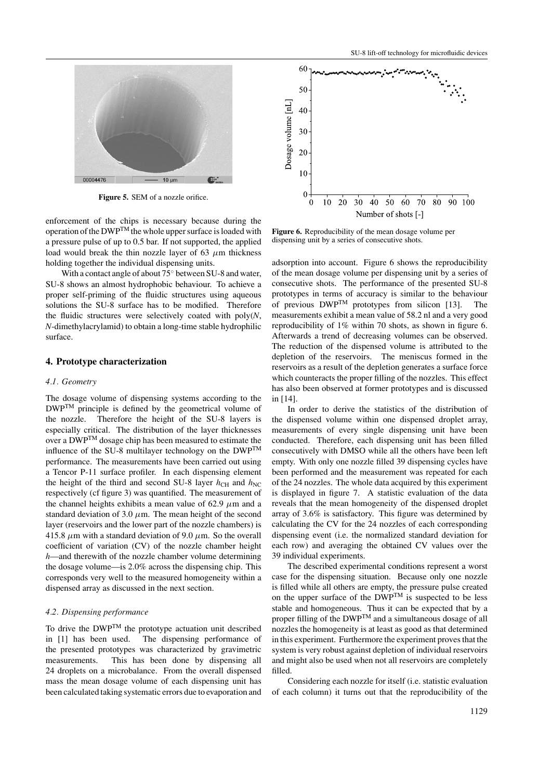

Figure 5. SEM of a nozzle orifice.

<span id="page-4-0"></span>enforcement of the chips is necessary because during the operation of the  $DWP^{TM}$  the whole upper surface is loaded with a pressure pulse of up to 0.5 bar. If not supported, the applied load would break the thin nozzle layer of 63  $\mu$ m thickness holding together the individual dispensing units.

With a contact angle of about 75◦ between SU-8 and water, SU-8 shows an almost hydrophobic behaviour. To achieve a proper self-priming of the fluidic structures using aqueous solutions the SU-8 surface has to be modified. Therefore the fluidic structures were selectively coated with poly(*N*, *N*-dimethylacrylamid) to obtain a long-time stable hydrophilic surface.

## **4. Prototype characterization**

#### *4.1. Geometry*

The dosage volume of dispensing systems according to the DWPTM principle is defined by the geometrical volume of the nozzle. Therefore the height of the SU-8 layers is especially critical. The distribution of the layer thicknesses over a DWPTM dosage chip has been measured to estimate the influence of the SU-8 multilayer technology on the  $DWP^{TM}$ performance. The measurements have been carried out using a Tencor P-11 surface profiler. In each dispensing element the height of the third and second SU-8 layer  $h_{\text{CH}}$  and  $h_{\text{NC}}$ respectively (cf figure [3\)](#page-2-1) was quantified. The measurement of the channel heights exhibits a mean value of  $62.9 \mu m$  and a standard deviation of 3.0  $\mu$ m. The mean height of the second layer (reservoirs and the lower part of the nozzle chambers) is 415.8  $\mu$ m with a standard deviation of 9.0  $\mu$ m. So the overall coefficient of variation (CV) of the nozzle chamber height *h*—and therewith of the nozzle chamber volume determining the dosage volume—is 2.0% across the dispensing chip. This corresponds very well to the measured homogeneity within a dispensed array as discussed in the next section.

#### *4.2. Dispensing performance*

To drive the DWPTM the prototype actuation unit described in [1] has been used. The dispensing performance of the presented prototypes was characterized by gravimetric measurements. This has been done by dispensing all 24 droplets on a microbalance. From the overall dispensed mass the mean dosage volume of each dispensing unit has been calculated taking systematic errors due to evaporation and



<span id="page-4-1"></span>**Figure 6.** Reproducibility of the mean dosage volume per dispensing unit by a series of consecutive shots.

adsorption into account. Figure [6](#page-4-1) shows the reproducibility of the mean dosage volume per dispensing unit by a series of consecutive shots. The performance of the presented SU-8 prototypes in terms of accuracy is similar to the behaviour of previous  $DWP^{TM}$  prototypes from silicon [13]. The measurements exhibit a mean value of 58.2 nl and a very good reproducibility of 1% within 70 shots, as shown in figure [6.](#page-4-1) Afterwards a trend of decreasing volumes can be observed. The reduction of the dispensed volume is attributed to the depletion of the reservoirs. The meniscus formed in the reservoirs as a result of the depletion generates a surface force which counteracts the proper filling of the nozzles. This effect has also been observed at former prototypes and is discussed in [14].

In order to derive the statistics of the distribution of the dispensed volume within one dispensed droplet array, measurements of every single dispensing unit have been conducted. Therefore, each dispensing unit has been filled consecutively with DMSO while all the others have been left empty. With only one nozzle filled 39 dispensing cycles have been performed and the measurement was repeated for each of the 24 nozzles. The whole data acquired by this experiment is displayed in figure [7.](#page-5-0) A statistic evaluation of the data reveals that the mean homogeneity of the dispensed droplet array of 3.6% is satisfactory. This figure was determined by calculating the CV for the 24 nozzles of each corresponding dispensing event (i.e. the normalized standard deviation for each row) and averaging the obtained CV values over the 39 individual experiments.

The described experimental conditions represent a worst case for the dispensing situation. Because only one nozzle is filled while all others are empty, the pressure pulse created on the upper surface of the  $\overline{DWP^{TM}}$  is suspected to be less stable and homogeneous. Thus it can be expected that by a proper filling of the  $DWP^{TM}$  and a simultaneous dosage of all nozzles the homogeneity is at least as good as that determined in this experiment. Furthermore the experiment proves that the system is very robust against depletion of individual reservoirs and might also be used when not all reservoirs are completely filled.

Considering each nozzle for itself (i.e. statistic evaluation of each column) it turns out that the reproducibility of the